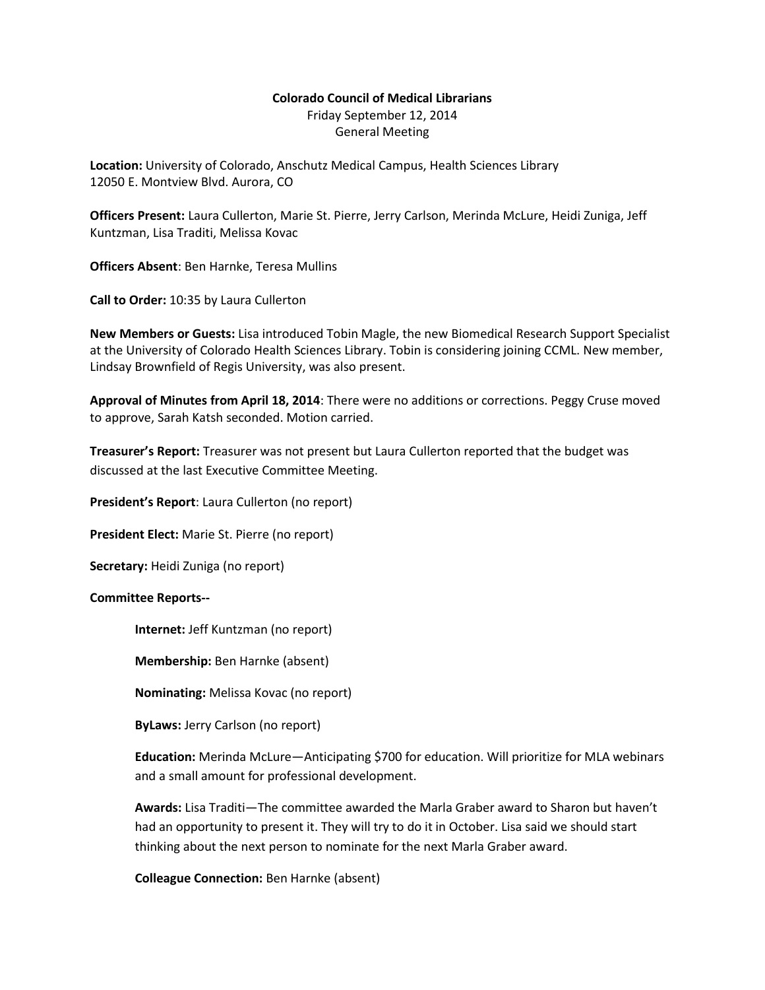# **Colorado Council of Medical Librarians** Friday September 12, 2014 General Meeting

**Location:** University of Colorado, Anschutz Medical Campus, Health Sciences Library 12050 E. Montview Blvd. Aurora, CO

**Officers Present:** Laura Cullerton, Marie St. Pierre, Jerry Carlson, Merinda McLure, Heidi Zuniga, Jeff Kuntzman, Lisa Traditi, Melissa Kovac

**Officers Absent**: Ben Harnke, Teresa Mullins

**Call to Order:** 10:35 by Laura Cullerton

**New Members or Guests:** Lisa introduced Tobin Magle, the new Biomedical Research Support Specialist at the University of Colorado Health Sciences Library. Tobin is considering joining CCML. New member, Lindsay Brownfield of Regis University, was also present.

**Approval of Minutes from April 18, 2014**: There were no additions or corrections. Peggy Cruse moved to approve, Sarah Katsh seconded. Motion carried.

**Treasurer's Report:** Treasurer was not present but Laura Cullerton reported that the budget was discussed at the last Executive Committee Meeting.

**President's Report**: Laura Cullerton (no report)

**President Elect:** Marie St. Pierre (no report)

**Secretary:** Heidi Zuniga (no report)

#### **Committee Reports--**

**Internet:** Jeff Kuntzman (no report)

**Membership:** Ben Harnke (absent)

**Nominating:** Melissa Kovac (no report)

**ByLaws:** Jerry Carlson (no report)

**Education:** Merinda McLure—Anticipating \$700 for education. Will prioritize for MLA webinars and a small amount for professional development.

**Awards:** Lisa Traditi—The committee awarded the Marla Graber award to Sharon but haven't had an opportunity to present it. They will try to do it in October. Lisa said we should start thinking about the next person to nominate for the next Marla Graber award.

# **Colleague Connection:** Ben Harnke (absent)